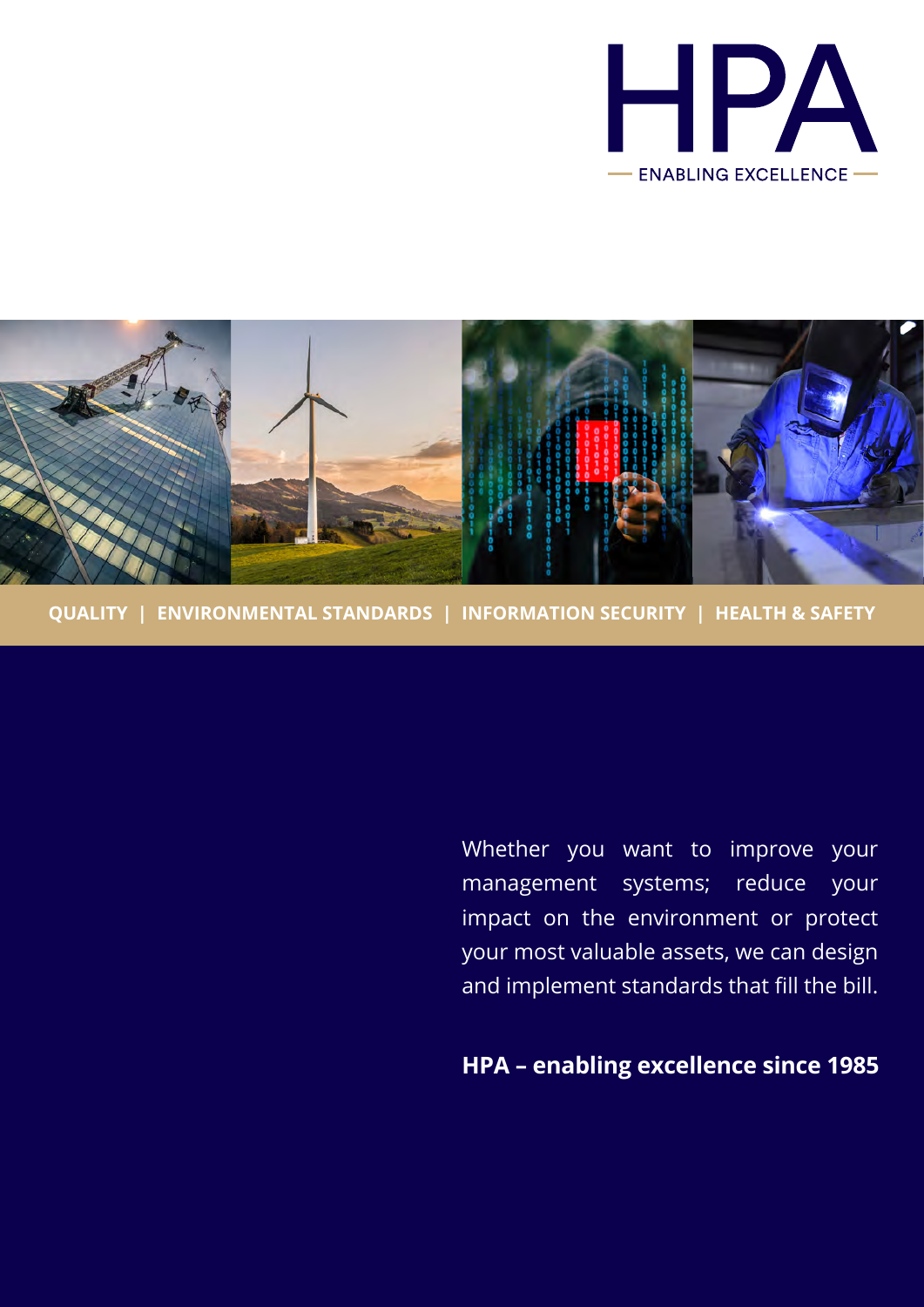



**QUALITY | ENVIRONMENTAL STANDARDS | INFORMATION SECURITY | HEALTH & SAFETY**

Whether you want to improve your management systems; reduce your impact on the environment or protect your most valuable assets, we can design and implement standards that fill the bill.

**HPA – enabling excellence since 1985**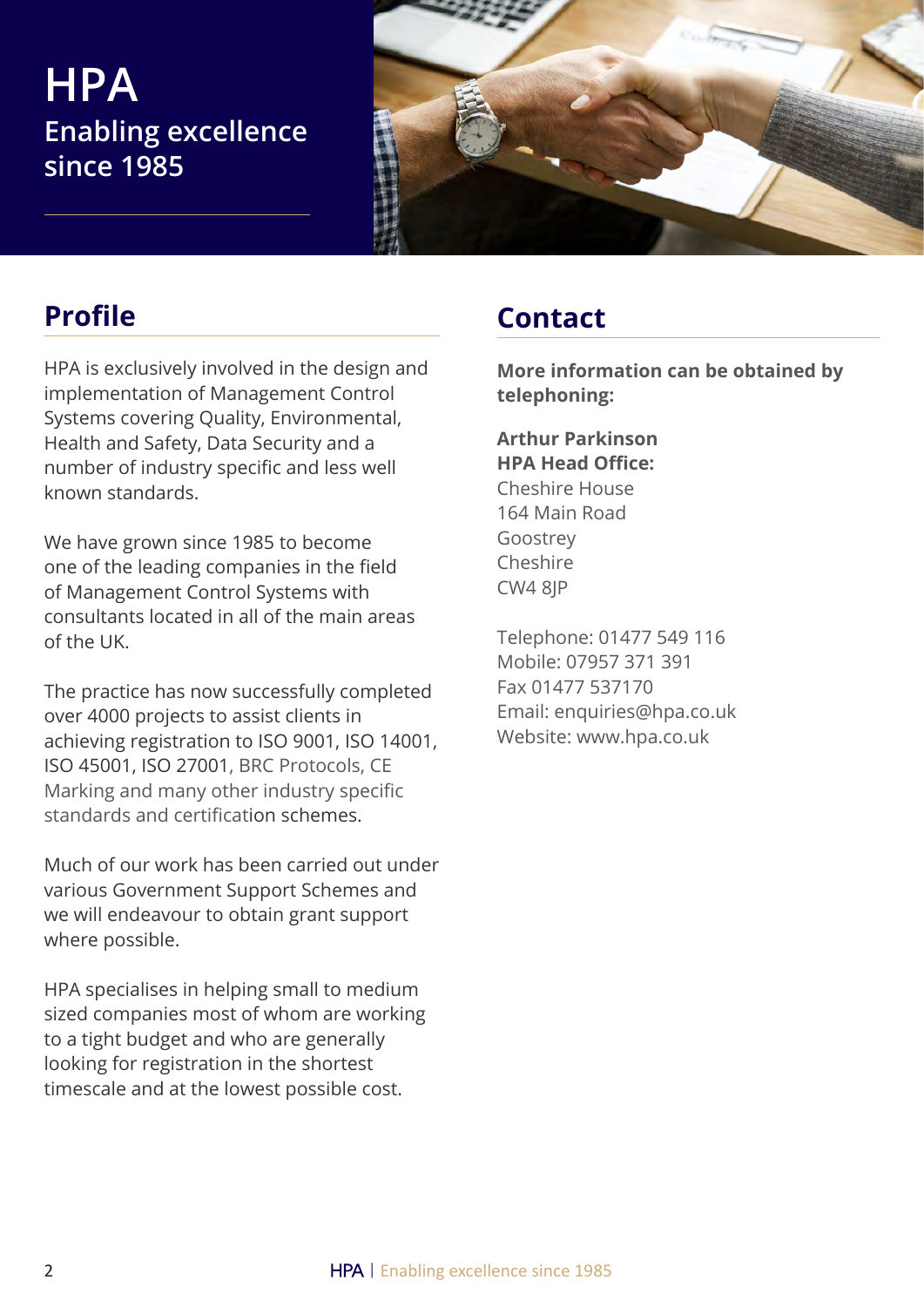## **HPA Enabling excellence since 1985**



HPA is exclusively involved in the design and implementation of Management Control Systems covering Quality, Environmental, Health and Safety, Data Security and a number of industry specific and less well known standards.

We have grown since 1985 to become one of the leading companies in the field of Management Control Systems with consultants located in all of the main areas of the UK.

The practice has now successfully completed over 4000 projects to assist clients in achieving registration to ISO 9001, ISO 14001, ISO 45001, ISO 27001, BRC Protocols, CE Marking and many other industry specific standards and certification schemes.

Much of our work has been carried out under various Government Support Schemes and we will endeavour to obtain grant support where possible.

HPA specialises in helping small to medium sized companies most of whom are working to a tight budget and who are generally looking for registration in the shortest timescale and at the lowest possible cost.

## **Profile Contact**

**More information can be obtained by telephoning:**

### **Arthur Parkinson HPA Head Office:**  Cheshire House 164 Main Road

Goostrey Cheshire CW4 8JP

Telephone: 01477 549 116 Mobile: 07957 371 391 Fax 01477 537170 Email: enquiries@hpa.co.uk Website: www.hpa.co.uk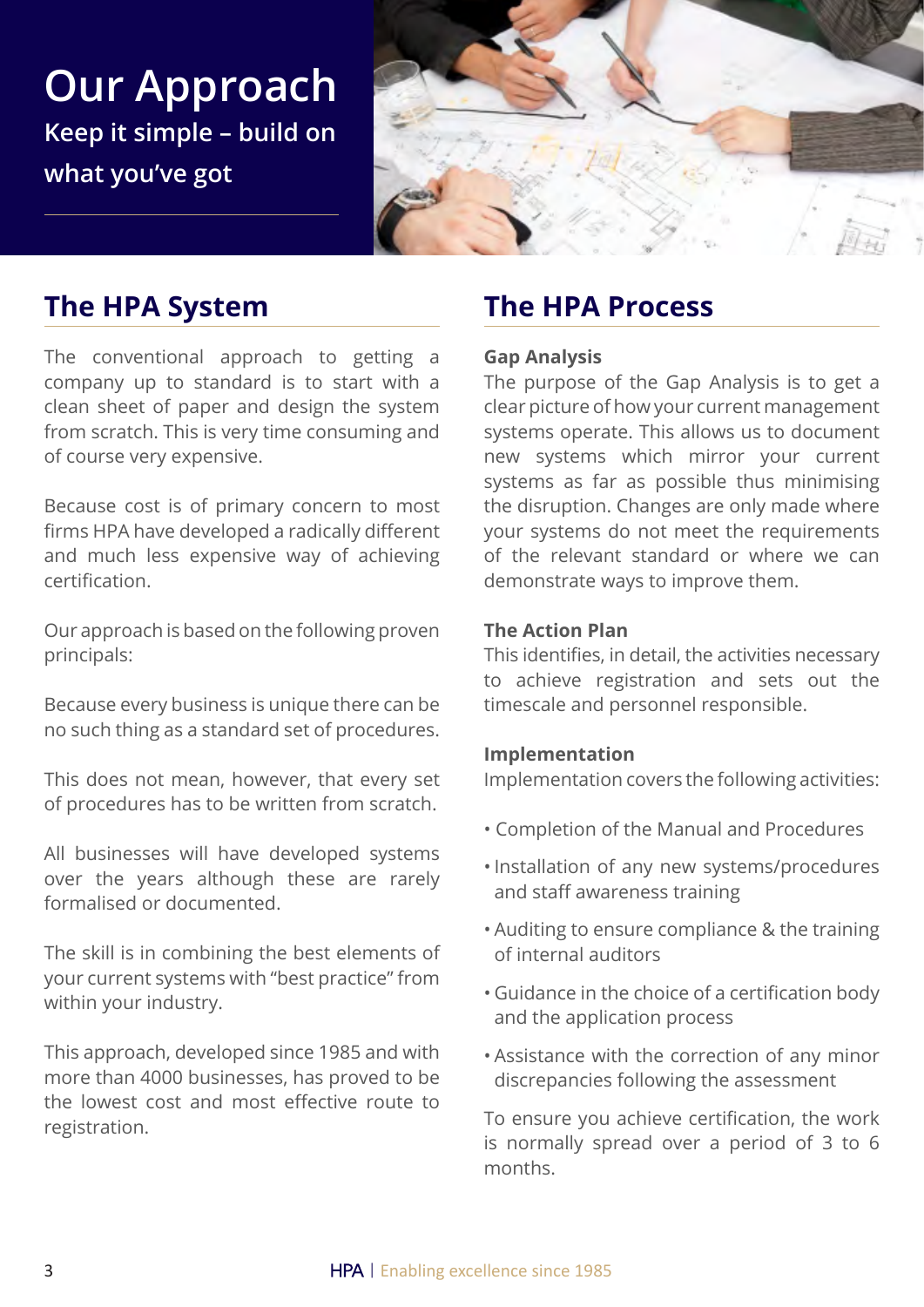**Our Approach Keep it simple – build on what you've got**



## **The HPA System**

The conventional approach to getting a company up to standard is to start with a clean sheet of paper and design the system from scratch. This is very time consuming and of course very expensive.

Because cost is of primary concern to most firms HPA have developed a radically different and much less expensive way of achieving certification.

Our approach is based on the following proven principals:

Because every business is unique there can be no such thing as a standard set of procedures.

This does not mean, however, that every set of procedures has to be written from scratch.

All businesses will have developed systems over the years although these are rarely formalised or documented.

The skill is in combining the best elements of your current systems with "best practice" from within your industry.

This approach, developed since 1985 and with more than 4000 businesses, has proved to be the lowest cost and most effective route to registration.

## **The HPA Process**

#### **Gap Analysis**

The purpose of the Gap Analysis is to get a clear picture of how your current management systems operate. This allows us to document new systems which mirror your current systems as far as possible thus minimising the disruption. Changes are only made where your systems do not meet the requirements of the relevant standard or where we can demonstrate ways to improve them.

#### **The Action Plan**

This identifies, in detail, the activities necessary to achieve registration and sets out the timescale and personnel responsible.

#### **Implementation**

Implementation covers the following activities:

- Completion of the Manual and Procedures
- •Installation of any new systems/procedures and staff awareness training
- Auditing to ensure compliance & the training of internal auditors
- Guidance in the choice of a certification body and the application process
- Assistance with the correction of any minor discrepancies following the assessment

To ensure you achieve certification, the work is normally spread over a period of 3 to 6 months.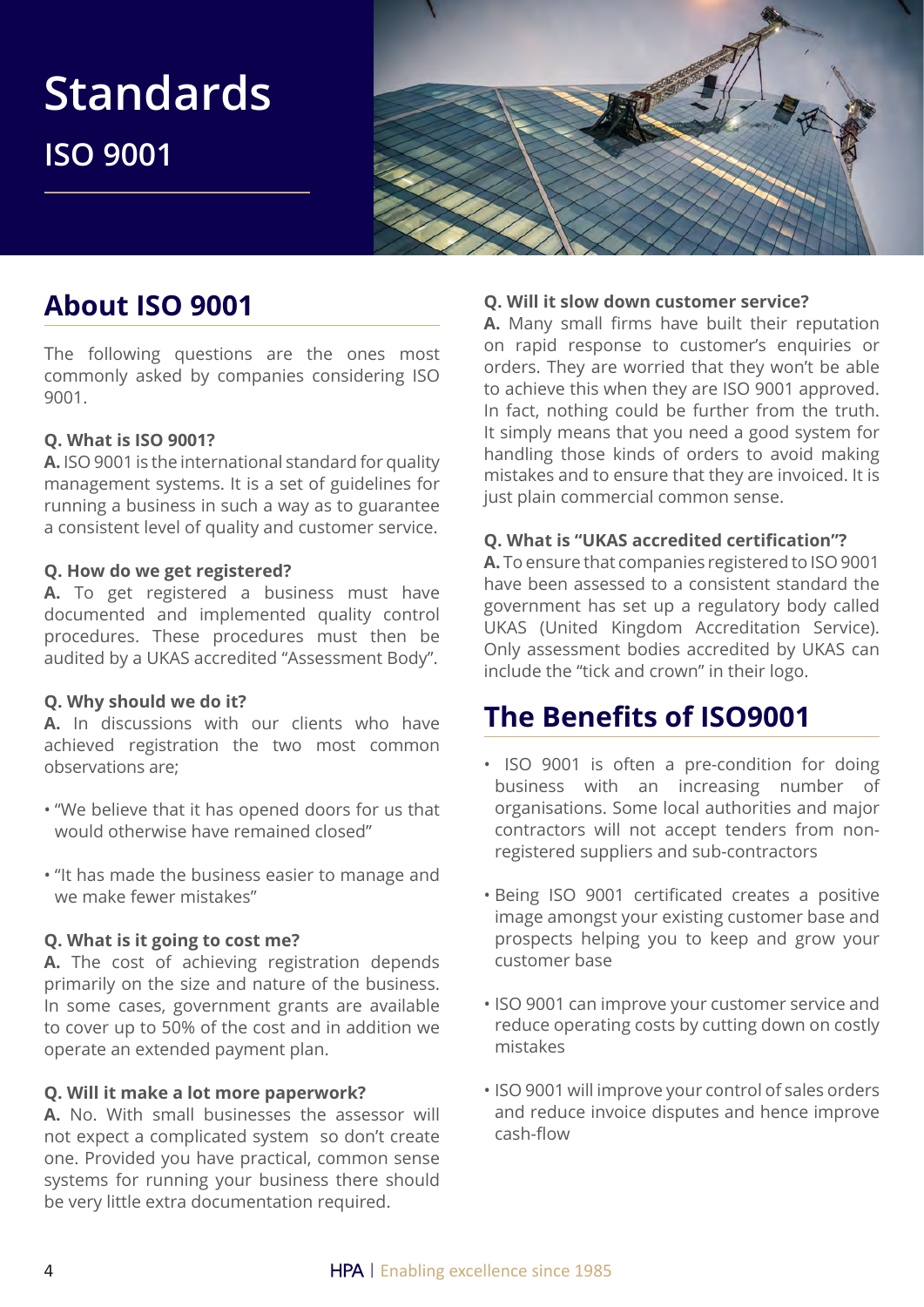

## **About ISO 9001**

The following questions are the ones most commonly asked by companies considering ISO 9001.

#### **Q. What is ISO 9001?**

**A.** ISO 9001 is the international standard for quality management systems. It is a set of guidelines for running a business in such a way as to guarantee a consistent level of quality and customer service.

#### **Q. How do we get registered?**

**A.** To get registered a business must have documented and implemented quality control procedures. These procedures must then be audited by a UKAS accredited "Assessment Body".

#### **Q. Why should we do it?**

**A.** In discussions with our clients who have achieved registration the two most common observations are;

- "We believe that it has opened doors for us that would otherwise have remained closed"
- "It has made the business easier to manage and we make fewer mistakes"

#### **Q. What is it going to cost me?**

**A.** The cost of achieving registration depends primarily on the size and nature of the business. In some cases, government grants are available to cover up to 50% of the cost and in addition we operate an extended payment plan.

#### **Q. Will it make a lot more paperwork?**

**A.** No. With small businesses the assessor will not expect a complicated system so don't create one. Provided you have practical, common sense systems for running your business there should be very little extra documentation required.

#### **Q. Will it slow down customer service?**

**A.** Many small firms have built their reputation on rapid response to customer's enquiries or orders. They are worried that they won't be able to achieve this when they are ISO 9001 approved. In fact, nothing could be further from the truth. It simply means that you need a good system for handling those kinds of orders to avoid making mistakes and to ensure that they are invoiced. It is just plain commercial common sense.

#### **Q. What is "UKAS accredited certification"?**

**A.** To ensure that companies registered to ISO 9001 have been assessed to a consistent standard the government has set up a regulatory body called UKAS (United Kingdom Accreditation Service). Only assessment bodies accredited by UKAS can include the "tick and crown" in their logo.

## **The Benefits of ISO9001**

- ISO 9001 is often a pre-condition for doing business with an increasing number of organisations. Some local authorities and major contractors will not accept tenders from nonregistered suppliers and sub-contractors
- Being ISO 9001 certificated creates a positive image amongst your existing customer base and prospects helping you to keep and grow your customer base
- ISO 9001 can improve your customer service and reduce operating costs by cutting down on costly mistakes
- ISO 9001 will improve your control of sales orders and reduce invoice disputes and hence improve cash-flow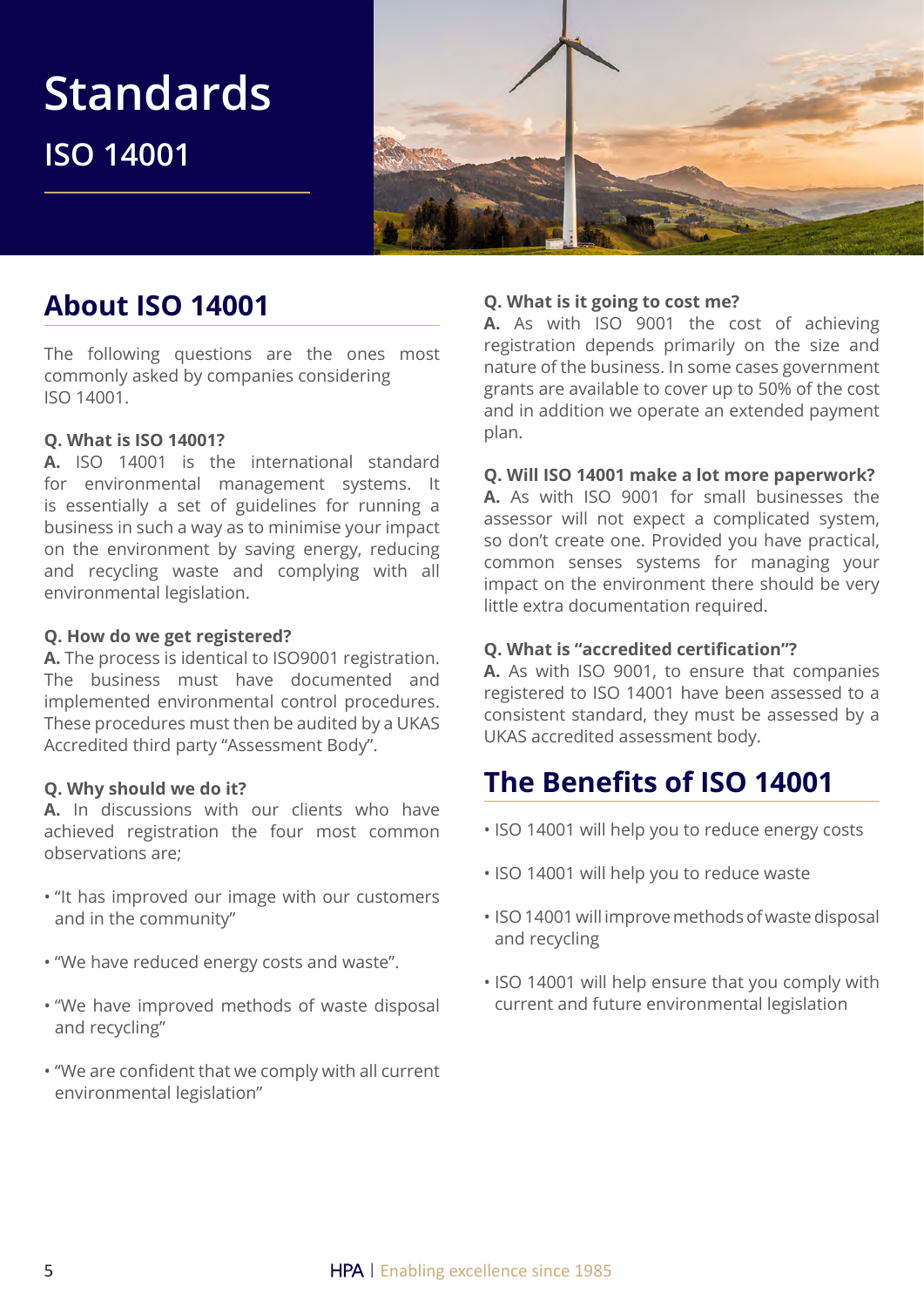

## **About ISO 14001**

The following questions are the ones most commonly asked by companies considering ISO 14001.

#### **Q. What is ISO 14001?**

**A.** ISO 14001 is the international standard for environmental management systems. It is essentially a set of guidelines for running a business in such a way as to minimise your impact on the environment by saving energy, reducing and recycling waste and complying with all environmental legislation.

#### **Q. How do we get registered?**

**A.** The process is identical to ISO9001 registration. The business must have documented and implemented environmental control procedures. These procedures must then be audited by a UKAS Accredited third party "Assessment Body".

#### **Q. Why should we do it?**

**A.** In discussions with our clients who have achieved registration the four most common observations are;

- "It has improved our image with our customers and in the community"
- "We have reduced energy costs and waste".
- "We have improved methods of waste disposal and recycling"
- "We are confident that we comply with all current environmental legislation"

#### **Q. What is it going to cost me?**

**A.** As with ISO 9001 the cost of achieving registration depends primarily on the size and nature of the business. In some cases government grants are available to cover up to 50% of the cost and in addition we operate an extended payment plan.

#### **Q. Will ISO 14001 make a lot more paperwork?**

**A.** As with ISO 9001 for small businesses the assessor will not expect a complicated system, so don't create one. Provided you have practical, common senses systems for managing your impact on the environment there should be very little extra documentation required.

#### **Q. What is "accredited certification"?**

**A.** As with ISO 9001, to ensure that companies registered to ISO 14001 have been assessed to a consistent standard, they must be assessed by a UKAS accredited assessment body.

## **The Benefits of ISO 14001**

- ISO 14001 will help you to reduce energy costs
- ISO 14001 will help you to reduce waste
- ISO 14001 will improve methods of waste disposal and recycling
- ISO 14001 will help ensure that you comply with current and future environmental legislation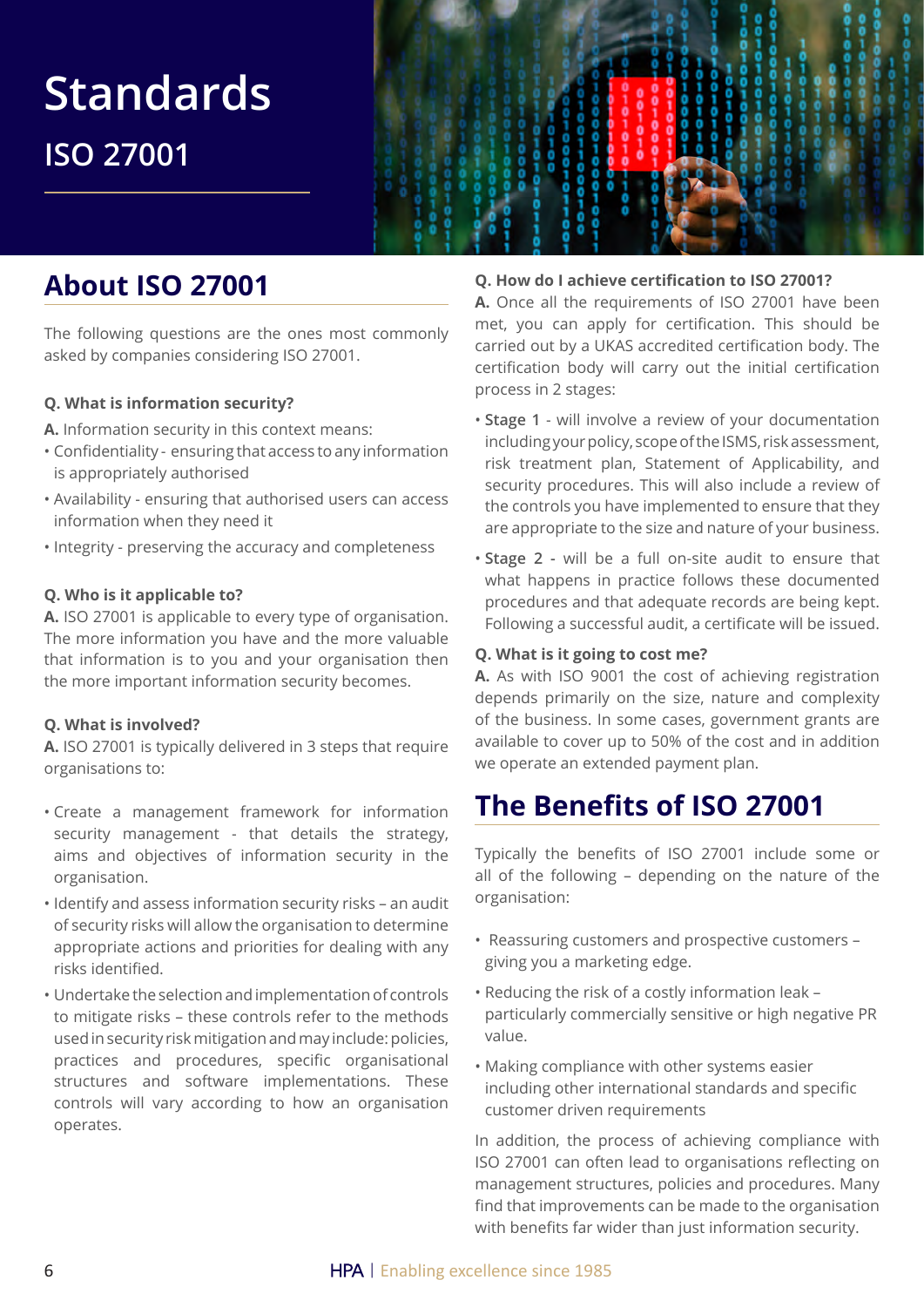## **About ISO 27001**

The following questions are the ones most commonly asked by companies considering ISO 27001.

#### **Q. What is information security?**

- **A.** Information security in this context means:
- Confidentiality ensuring that access to any information is appropriately authorised
- Availability ensuring that authorised users can access information when they need it
- Integrity preserving the accuracy and completeness

#### **Q. Who is it applicable to?**

**A.** ISO 27001 is applicable to every type of organisation. The more information you have and the more valuable that information is to you and your organisation then the more important information security becomes.

#### **Q. What is involved?**

**A.** ISO 27001 is typically delivered in 3 steps that require organisations to:

- Create a management framework for information security management - that details the strategy, aims and objectives of information security in the organisation.
- Identify and assess information security risks an audit of security risks will allow the organisation to determine appropriate actions and priorities for dealing with any risks identified.
- Undertake the selection and implementation of controls to mitigate risks – these controls refer to the methods used in security risk mitigation and may include: policies, practices and procedures, specific organisational structures and software implementations. These controls will vary according to how an organisation operates.

#### **Q. How do I achieve certification to ISO 27001?**

**A.** Once all the requirements of ISO 27001 have been met, you can apply for certification. This should be carried out by a UKAS accredited certification body. The certification body will carry out the initial certification process in 2 stages:

- **Stage 1** will involve a review of your documentation including your policy, scope of the ISMS, risk assessment, risk treatment plan, Statement of Applicability, and security procedures. This will also include a review of the controls you have implemented to ensure that they are appropriate to the size and nature of your business.
- **Stage 2 -** will be a full on-site audit to ensure that what happens in practice follows these documented procedures and that adequate records are being kept. Following a successful audit, a certificate will be issued.

#### **Q. What is it going to cost me?**

**A.** As with ISO 9001 the cost of achieving registration depends primarily on the size, nature and complexity of the business. In some cases, government grants are available to cover up to 50% of the cost and in addition we operate an extended payment plan.

### **The Benefits of ISO 27001**

Typically the benefits of ISO 27001 include some or all of the following – depending on the nature of the organisation:

- Reassuring customers and prospective customers giving you a marketing edge.
- Reducing the risk of a costly information leak particularly commercially sensitive or high negative PR value.
- Making compliance with other systems easier including other international standards and specific customer driven requirements

In addition, the process of achieving compliance with ISO 27001 can often lead to organisations reflecting on management structures, policies and procedures. Many find that improvements can be made to the organisation with benefits far wider than just information security.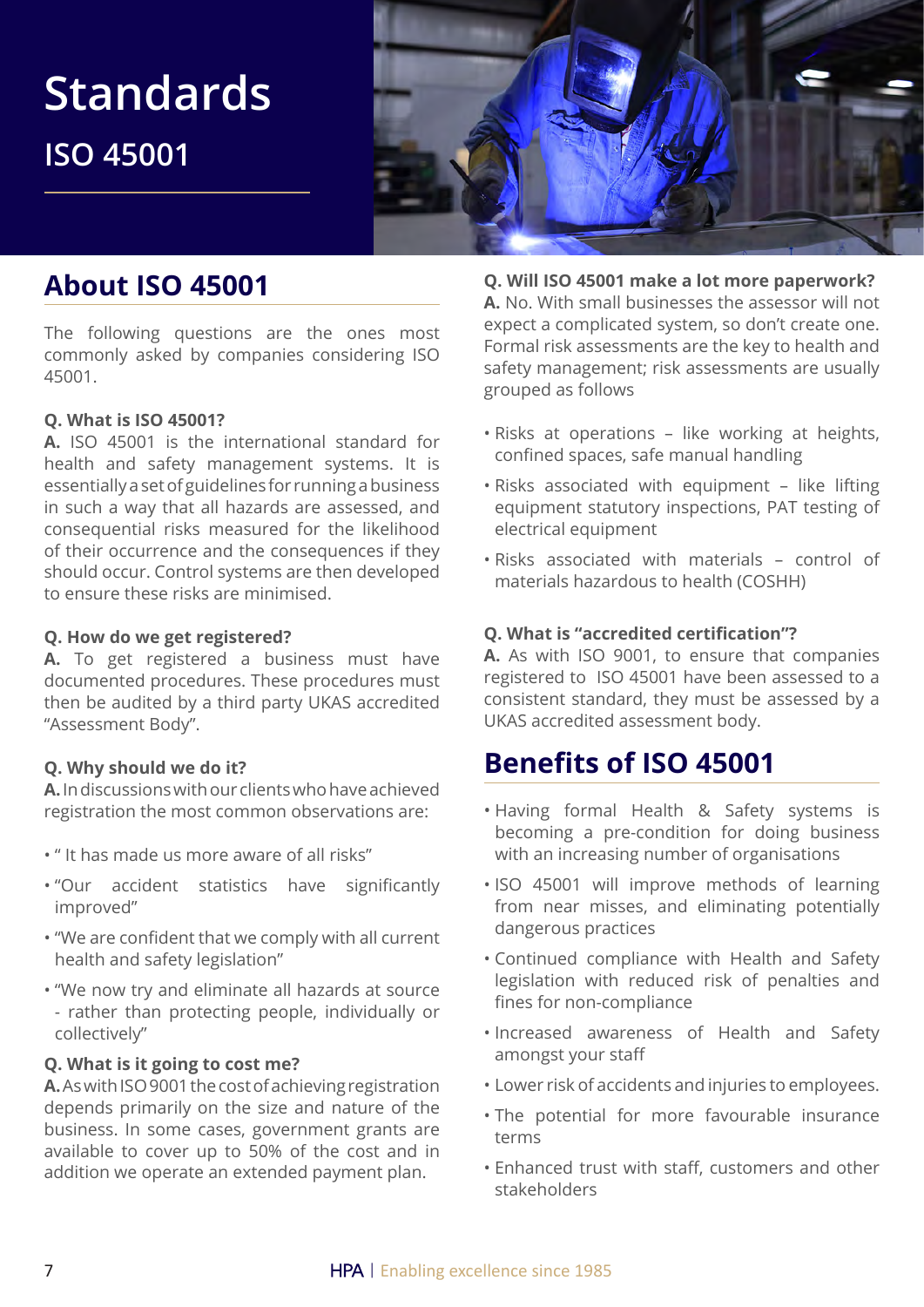

## **About ISO 45001**

The following questions are the ones most commonly asked by companies considering ISO 45001.

#### **Q. What is ISO 45001?**

**A.** ISO 45001 is the international standard for health and safety management systems. It is essentially a set of guidelines for running a business in such a way that all hazards are assessed, and consequential risks measured for the likelihood of their occurrence and the consequences if they should occur. Control systems are then developed to ensure these risks are minimised.

#### **Q. How do we get registered?**

**A.** To get registered a business must have documented procedures. These procedures must then be audited by a third party UKAS accredited "Assessment Body".

#### **Q. Why should we do it?**

**A.** In discussions with our clients who have achieved registration the most common observations are:

- " It has made us more aware of all risks"
- "Our accident statistics have significantly improved"
- "We are confident that we comply with all current health and safety legislation"
- "We now try and eliminate all hazards at source - rather than protecting people, individually or collectively"

#### **Q. What is it going to cost me?**

**A.** As with ISO 9001 the cost of achieving registration depends primarily on the size and nature of the business. In some cases, government grants are available to cover up to 50% of the cost and in addition we operate an extended payment plan.

#### **Q. Will ISO 45001 make a lot more paperwork?**

**A.** No. With small businesses the assessor will not expect a complicated system, so don't create one. Formal risk assessments are the key to health and safety management; risk assessments are usually grouped as follows

- Risks at operations like working at heights, confined spaces, safe manual handling
- Risks associated with equipment like lifting equipment statutory inspections, PAT testing of electrical equipment
- Risks associated with materials control of materials hazardous to health (COSHH)

#### **Q. What is "accredited certification"?**

**A.** As with ISO 9001, to ensure that companies registered to ISO 45001 have been assessed to a consistent standard, they must be assessed by a UKAS accredited assessment body.

## **Benefits of ISO 45001**

- Having formal Health & Safety systems is becoming a pre-condition for doing business with an increasing number of organisations
- ISO 45001 will improve methods of learning from near misses, and eliminating potentially dangerous practices
- Continued compliance with Health and Safety legislation with reduced risk of penalties and fines for non-compliance
- Increased awareness of Health and Safety amongst your staff
- Lower risk of accidents and injuries to employees.
- The potential for more favourable insurance terms
- Enhanced trust with staff, customers and other stakeholders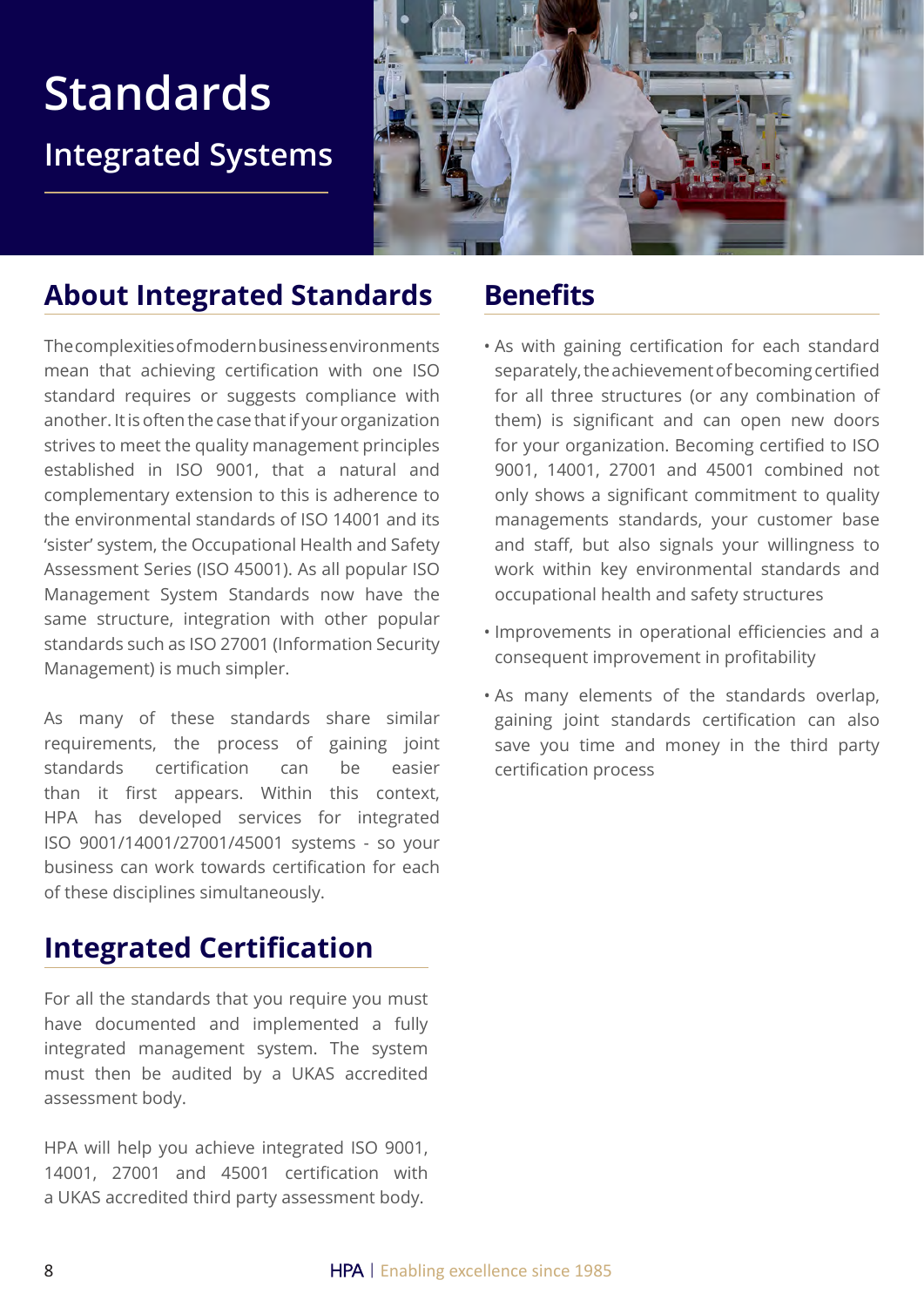## **Standards Integrated Systems**



## **About Integrated Standards**

The complexities of modern business environments mean that achieving certification with one ISO standard requires or suggests compliance with another. It is often the case that if your organization strives to meet the quality management principles established in ISO 9001, that a natural and complementary extension to this is adherence to the environmental standards of ISO 14001 and its 'sister' system, the Occupational Health and Safety Assessment Series (ISO 45001). As all popular ISO Management System Standards now have the same structure, integration with other popular standards such as ISO 27001 (Information Security Management) is much simpler.

As many of these standards share similar requirements, the process of gaining joint standards certification can be easier than it first appears. Within this context, HPA has developed services for integrated ISO 9001/14001/27001/45001 systems - so your business can work towards certification for each of these disciplines simultaneously.

## **Integrated Certification**

For all the standards that you require you must have documented and implemented a fully integrated management system. The system must then be audited by a UKAS accredited assessment body.

HPA will help you achieve integrated ISO 9001, 14001, 27001 and 45001 certification with a UKAS accredited third party assessment body.

## **Benefits**

- As with gaining certification for each standard separately, the achievement of becoming certified for all three structures (or any combination of them) is significant and can open new doors for your organization. Becoming certified to ISO 9001, 14001, 27001 and 45001 combined not only shows a significant commitment to quality managements standards, your customer base and staff, but also signals your willingness to work within key environmental standards and occupational health and safety structures
- Improvements in operational efficiencies and a consequent improvement in profitability
- As many elements of the standards overlap, gaining joint standards certification can also save you time and money in the third party certification process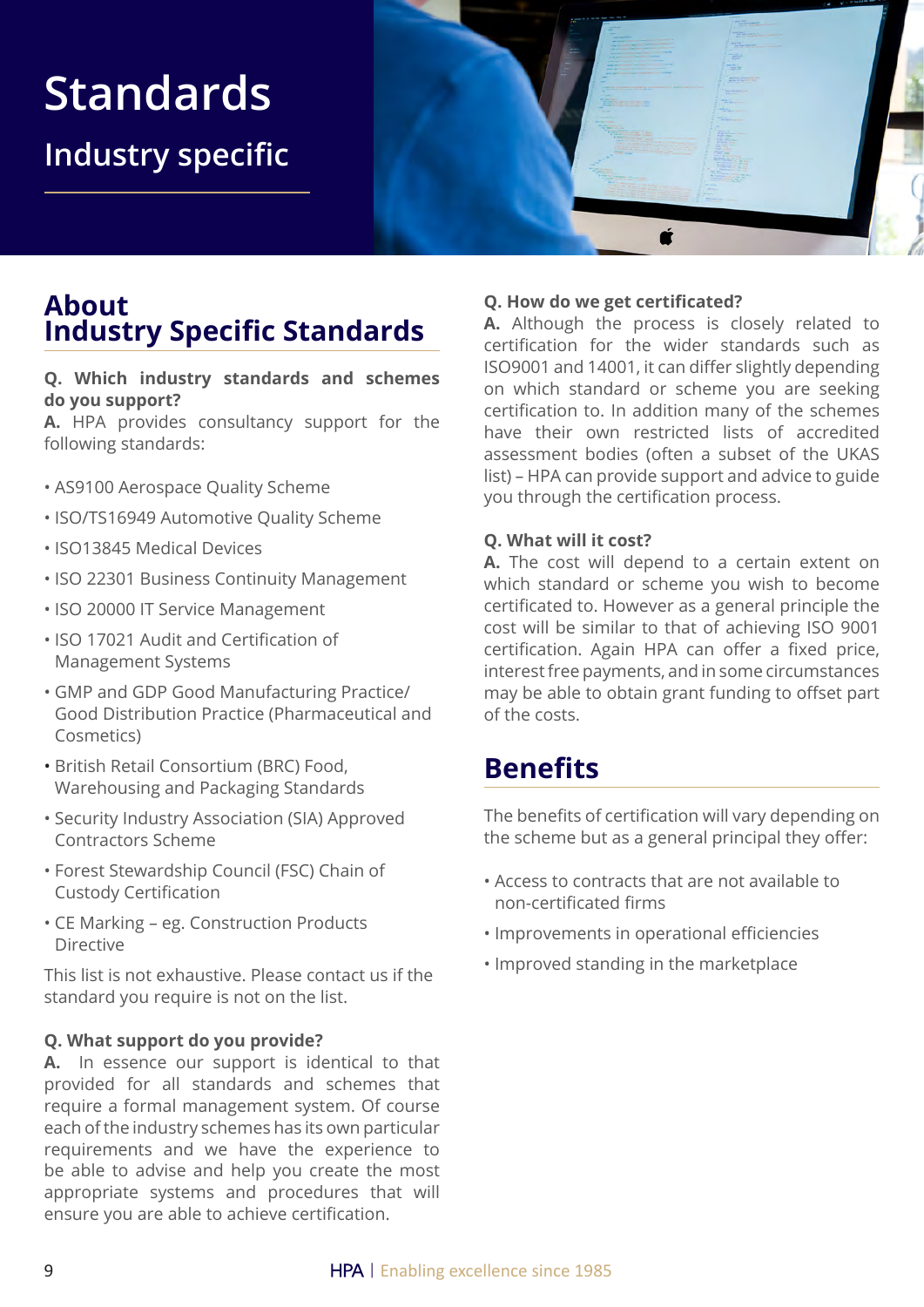## **Standards Industry specific**



### **About Industry Specific Standards**

#### **Q. Which industry standards and schemes do you support?**

**A.** HPA provides consultancy support for the following standards:

- AS9100 Aerospace Quality Scheme
- ISO/TS16949 Automotive Quality Scheme
- ISO13845 Medical Devices
- ISO 22301 Business Continuity Management
- ISO 20000 IT Service Management
- ISO 17021 Audit and Certification of Management Systems
- GMP and GDP Good Manufacturing Practice/ Good Distribution Practice (Pharmaceutical and Cosmetics)
- British Retail Consortium (BRC) Food, Warehousing and Packaging Standards
- Security Industry Association (SIA) Approved Contractors Scheme
- Forest Stewardship Council (FSC) Chain of Custody Certification
- CE Marking eg. Construction Products Directive

This list is not exhaustive. Please contact us if the standard you require is not on the list.

#### **Q. What support do you provide?**

**A.** In essence our support is identical to that provided for all standards and schemes that require a formal management system. Of course each of the industry schemes has its own particular requirements and we have the experience to be able to advise and help you create the most appropriate systems and procedures that will ensure you are able to achieve certification.

#### **Q. How do we get certificated?**

**A.** Although the process is closely related to certification for the wider standards such as ISO9001 and 14001, it can differ slightly depending on which standard or scheme you are seeking certification to. In addition many of the schemes have their own restricted lists of accredited assessment bodies (often a subset of the UKAS list) – HPA can provide support and advice to guide you through the certification process.

#### **Q. What will it cost?**

**A.** The cost will depend to a certain extent on which standard or scheme you wish to become certificated to. However as a general principle the cost will be similar to that of achieving ISO 9001 certification. Again HPA can offer a fixed price, interest free payments, and in some circumstances may be able to obtain grant funding to offset part of the costs.

### **Benefits**

The benefits of certification will vary depending on the scheme but as a general principal they offer:

- Access to contracts that are not available to non-certificated firms
- Improvements in operational efficiencies
- Improved standing in the marketplace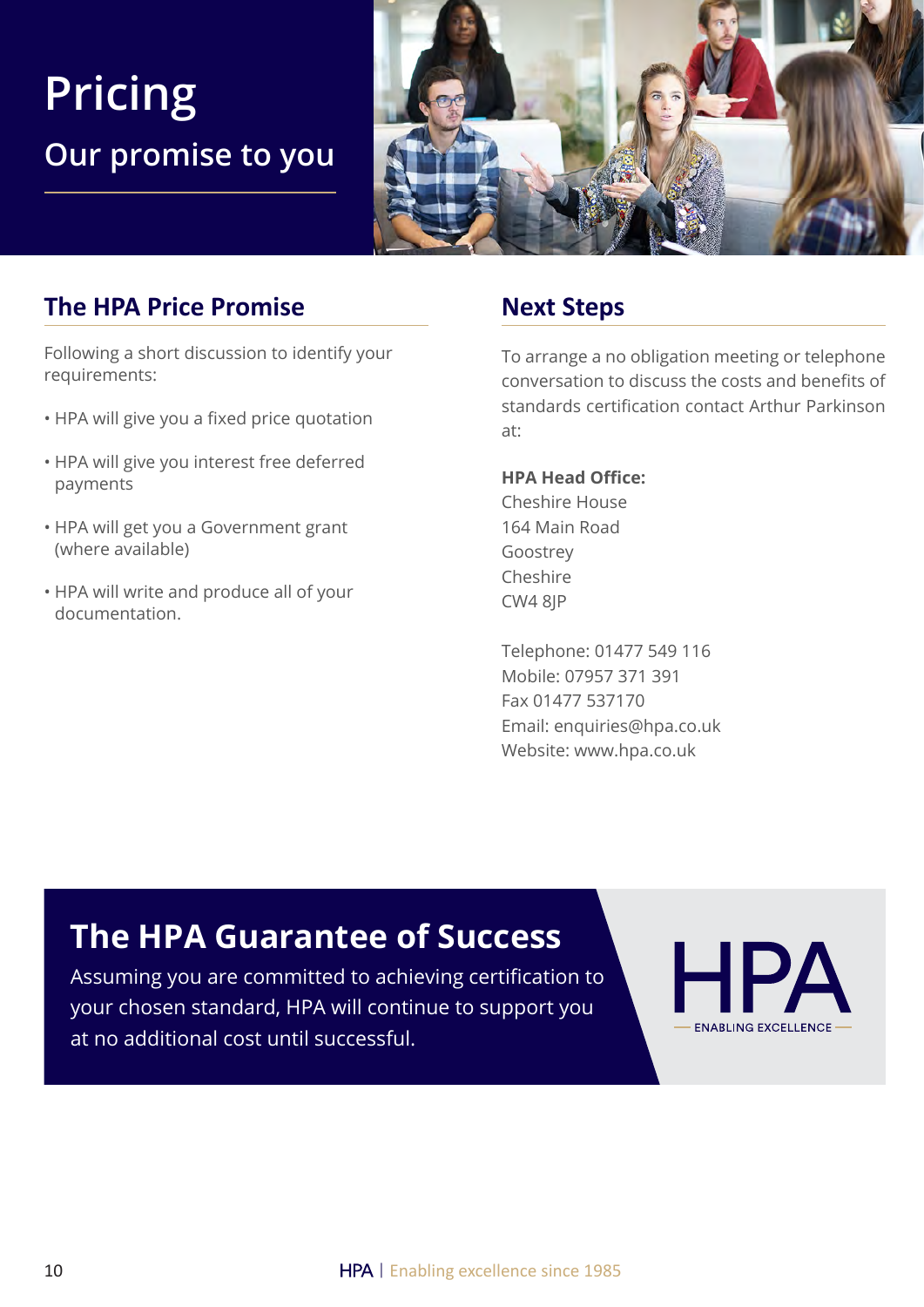## **Pricing Our promise to you**



### **The HPA Price Promise**

Following a short discussion to identify your requirements:

- HPA will give you a fixed price quotation
- HPA will give you interest free deferred payments
- HPA will get you a Government grant (where available)
- HPA will write and produce all of your documentation.

### **Next Steps**

To arrange a no obligation meeting or telephone conversation to discuss the costs and benefits of standards certification contact Arthur Parkinson at:

#### **HPA Head Office:**

Cheshire House 164 Main Road Goostrey Cheshire CW4 8JP

Telephone: 01477 549 116 Mobile: 07957 371 391 Fax 01477 537170 Email: enquiries@hpa.co.uk Website: www.hpa.co.uk

## **The HPA Guarantee of Success**

Assuming you are committed to achieving certification to your chosen standard, HPA will continue to support you at no additional cost until successful.

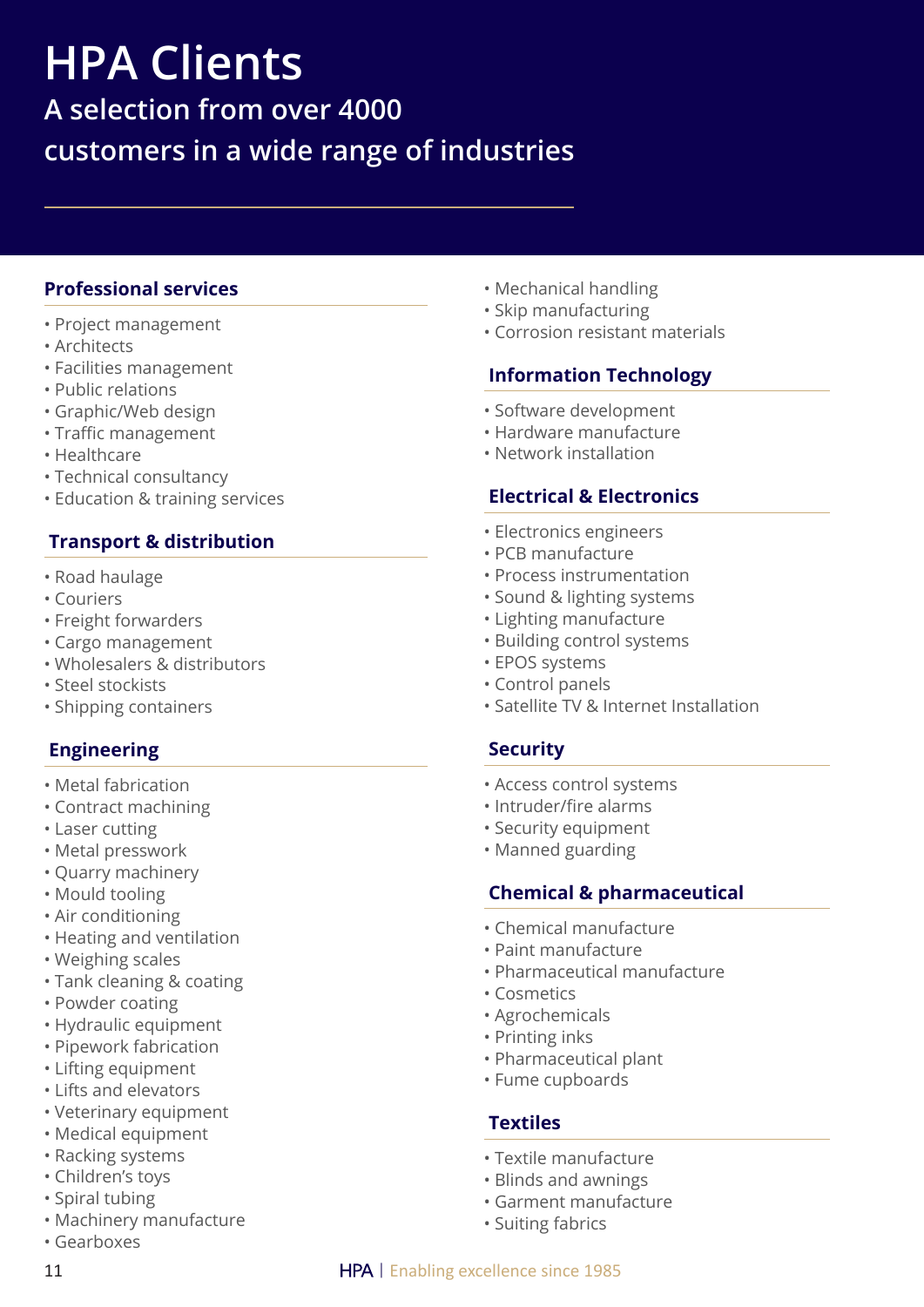# **HPA Clients**

**A selection from over 4000 customers in a wide range of industries**

#### **Professional services**

- Project management
- Architects
- Facilities management
- Public relations
- Graphic/Web design
- Traffic management
- Healthcare
- Technical consultancy
- Education & training services

#### **Transport & distribution**

- Road haulage
- Couriers
- Freight forwarders
- Cargo management
- Wholesalers & distributors
- Steel stockists
- Shipping containers

#### **Engineering**

- Metal fabrication
- Contract machining
- Laser cutting
- Metal presswork
- Quarry machinery
- Mould tooling
- Air conditioning
- Heating and ventilation
- Weighing scales
- Tank cleaning & coating
- Powder coating
- Hydraulic equipment
- Pipework fabrication
- Lifting equipment
- Lifts and elevators
- Veterinary equipment
- Medical equipment
- Racking systems
- Children's toys
- Spiral tubing
- Machinery manufacture
- Gearboxes
- 
- Mechanical handling
- Skip manufacturing
- Corrosion resistant materials

#### **Information Technology**

- Software development
- Hardware manufacture
- Network installation

#### **Electrical & Electronics**

- Electronics engineers
- PCB manufacture
- Process instrumentation
- Sound & lighting systems
- Lighting manufacture
- Building control systems
- EPOS systems
- Control panels
- Satellite TV & Internet Installation

#### **Security**

- Access control systems
- Intruder/fire alarms
- Security equipment
- Manned guarding

#### **Chemical & pharmaceutical**

- Chemical manufacture
- Paint manufacture
- Pharmaceutical manufacture
- Cosmetics
- Agrochemicals
- Printing inks
- Pharmaceutical plant
- Fume cupboards

#### **Textiles**

- Textile manufacture
- Blinds and awnings
- Garment manufacture
- Suiting fabrics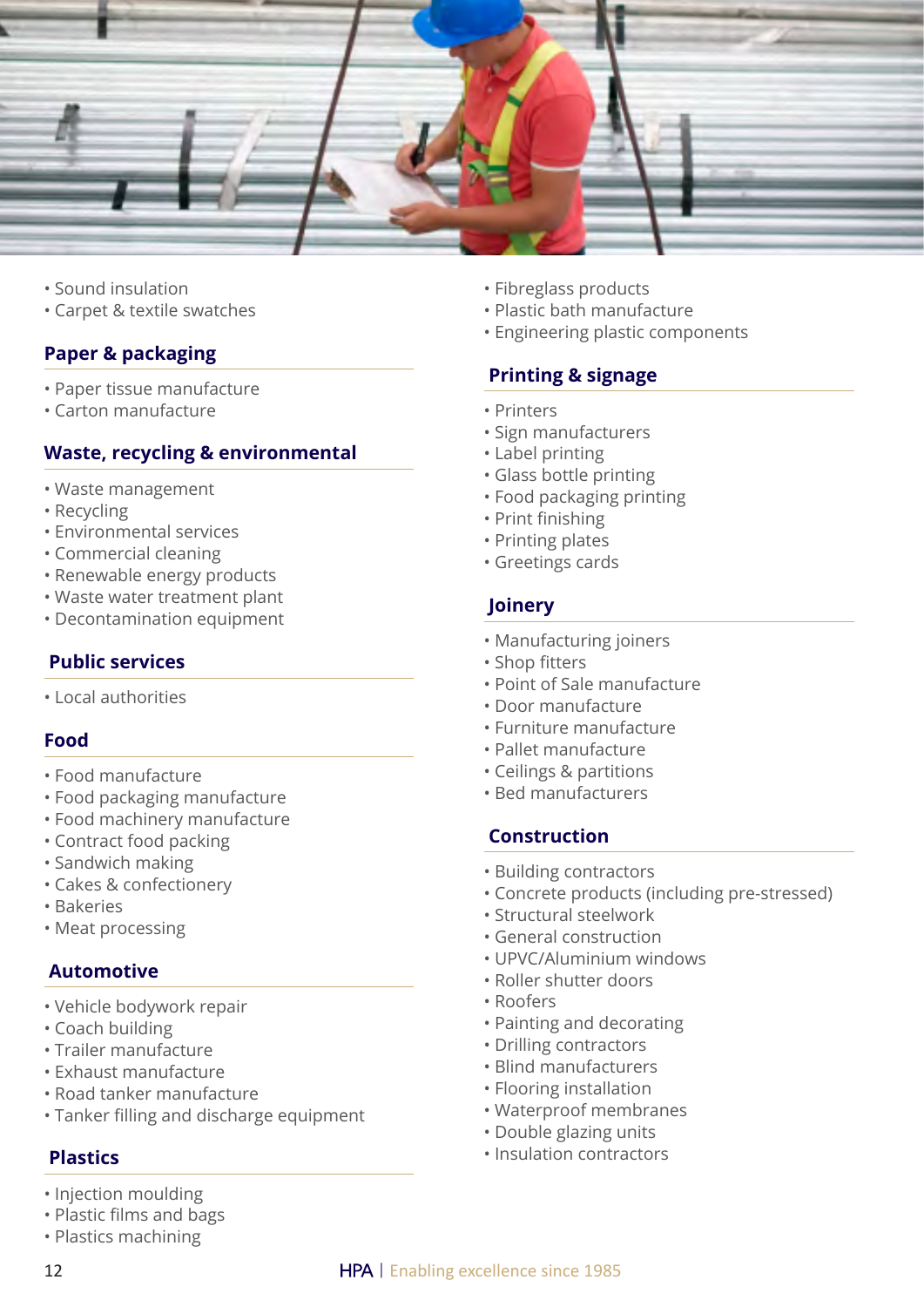

- Sound insulation
- Carpet & textile swatches

#### **Paper & packaging**

- Paper tissue manufacture
- Carton manufacture

#### **Waste, recycling & environmental**

- Waste management
- Recycling
- Environmental services
- Commercial cleaning
- Renewable energy products
- Waste water treatment plant
- Decontamination equipment

#### **Public services**

• Local authorities

#### **Food**

- Food manufacture
- Food packaging manufacture
- Food machinery manufacture
- Contract food packing
- Sandwich making
- Cakes & confectionery
- Bakeries
- Meat processing

#### **Automotive**

- Vehicle bodywork repair
- Coach building
- Trailer manufacture
- Exhaust manufacture
- Road tanker manufacture
- Tanker filling and discharge equipment

#### **Plastics**

- Injection moulding
- Plastic films and bags
- Plastics machining
- Fibreglass products
- Plastic bath manufacture
- Engineering plastic components

#### **Printing & signage**

- Printers
- Sign manufacturers
- Label printing
- Glass bottle printing
- Food packaging printing
- Print finishing
- Printing plates
- Greetings cards

#### **Joinery**

- Manufacturing joiners
- Shop fitters
- Point of Sale manufacture
- Door manufacture
- Furniture manufacture
- Pallet manufacture
- Ceilings & partitions
- Bed manufacturers

#### **Construction**

- Building contractors
- Concrete products (including pre-stressed)
- Structural steelwork
- General construction
- UPVC/Aluminium windows
- Roller shutter doors
- Roofers
- Painting and decorating
- Drilling contractors
- Blind manufacturers
- Flooring installation
- Waterproof membranes
- Double glazing units
- Insulation contractors